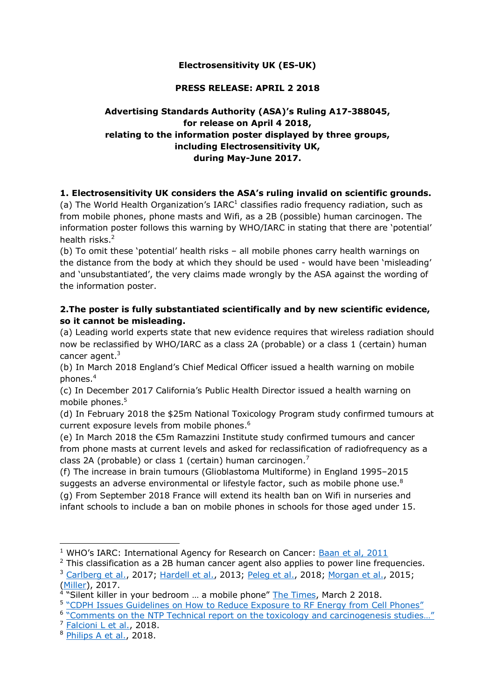## **Electrosensitivity UK (ES-UK)**

#### **PRESS RELEASE: APRIL 2 2018**

# **Advertising Standards Authority (ASA)'s Ruling A17-388045, for release on April 4 2018, relating to the information poster displayed by three groups, including Electrosensitivity UK, during May-June 2017.**

## **1. Electrosensitivity UK considers the ASA's ruling invalid on scientific grounds.**

(a) The World Health Organization's IARC $1$  classifies radio frequency radiation, such as from mobile phones, phone masts and Wifi, as a 2B (possible) human carcinogen. The information poster follows this warning by WHO/IARC in stating that there are 'potential' health risks.<sup>2</sup>

(b) To omit these 'potential' health risks – all mobile phones carry health warnings on the distance from the body at which they should be used - would have been 'misleading' and 'unsubstantiated', the very claims made wrongly by the ASA against the wording of the information poster.

# **2.The poster is fully substantiated scientifically and by new scientific evidence, so it cannot be misleading.**

(a) Leading world experts state that new evidence requires that wireless radiation should now be reclassified by WHO/IARC as a class 2A (probable) or a class 1 (certain) human cancer agent.<sup>3</sup>

(b) In March 2018 England's Chief Medical Officer issued a health warning on mobile phones.<sup>4</sup>

(c) In December 2017 California's Public Health Director issued a health warning on mobile phones. 5

(d) In February 2018 the \$25m National Toxicology Program study confirmed tumours at current exposure levels from mobile phones. 6

(e) In March 2018 the €5m Ramazzini Institute study confirmed tumours and cancer from phone masts at current levels and asked for reclassification of radiofrequency as a class 2A (probable) or class 1 (certain) human carcinogen.<sup>7</sup>

(f) The increase in brain tumours (Glioblastoma Multiforme) in England 1995–2015 suggests an adverse environmental or lifestyle factor, such as mobile phone use.<sup>8</sup> (g) From September 2018 France will extend its health ban on Wifi in nurseries and infant schools to include a ban on mobile phones in schools for those aged under 15.

<sup>5</sup> ["CDPH Issues Guidelines on How to Reduce Exposure to RF Energy from Cell Phones"](https://www.cdph.ca.gov/Programs/OPA/Pages/NR17-086.aspx)

<sup>6</sup> "Comments on the NTP Technical report on the toxicology and carcinogenesis studies..."

<sup>7</sup> [Falcioni L et al.,](https://ehtrust.org/wp-content/uploads/Belpoggi-Heart-and-Brain-Tumors-Base-Station-2018.pdf) 2018.

-

<sup>&</sup>lt;sup>1</sup> WHO's IARC: International Agency for Research on Cancer: [Baan et al, 2011](http://www.thelancet.com/journals/lanonc/article/PIIS1470-2045(11)70147-4/fulltext)

 $2$  This classification as a 2B human cancer agent also applies to power line frequencies. <sup>3</sup> [Carlberg et al.,](https://www.hindawi.com/journals/bmri/2017/9218486/) 2017; [Hardell et al.,](https://www.degruyter.com/view/j/reveh.2013.28.issue-2-3/reveh-2013-0006/reveh-2013-0006.xml) 2013; [Peleg et al.,](https://www.sciencedirect.com/science/article/pii/S0013935118300045?via%3Dihub) 2018; [Morgan et al.,](https://www.spandidos-publications.com/ijo/46/5/1865) 2015;

<sup>(&</sup>lt;u>Miller</u>), 2017.<br><sup>4</sup> "Silent killer in your bedroom ... a mobile phone" <u>The Times</u>, March 2 2018.

<sup>8</sup> [Philips](https://www.hindawi.com/journals/jeph/aip/7910754/) A et al., 2018.